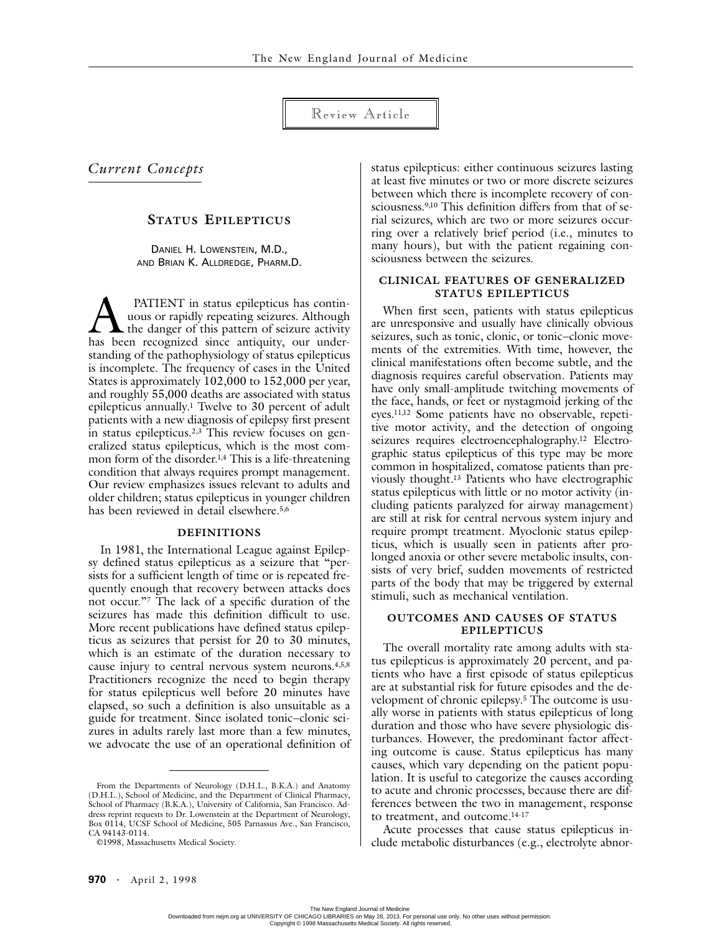Review Article

*Current Concepts*

# **STATUS EPILEPTICUS**

DANIEL H. LOWENSTEIN, M.D., AND BRIAN K. ALLDREDGE, PHARM.D.

 PATIENT in status epilepticus has continuous or rapidly repeating seizures. Although the danger of this pattern of seizure activity **has been** rapidly repeating seizures. Although the danger of this pattern of seizure activity has been recognized since antiquity, our understanding of the pathophysiology of status epilepticus is incomplete. The frequency of cases in the United States is approximately 102,000 to 152,000 per year, and roughly 55,000 deaths are associated with status epilepticus annually.1 Twelve to 30 percent of adult patients with a new diagnosis of epilepsy first present in status epilepticus.2,3 This review focuses on generalized status epilepticus, which is the most common form of the disorder.1,4 This is a life-threatening condition that always requires prompt management. Our review emphasizes issues relevant to adults and older children; status epilepticus in younger children has been reviewed in detail elsewhere.5,6

### **DEFINITIONS**

In 1981, the International League against Epilepsy defined status epilepticus as a seizure that "persists for a sufficient length of time or is repeated frequently enough that recovery between attacks does not occur."7 The lack of a specific duration of the seizures has made this definition difficult to use. More recent publications have defined status epilepticus as seizures that persist for 20 to 30 minutes, which is an estimate of the duration necessary to cause injury to central nervous system neurons.4,5,8 Practitioners recognize the need to begin therapy for status epilepticus well before 20 minutes have elapsed, so such a definition is also unsuitable as a guide for treatment. Since isolated tonic–clonic seizures in adults rarely last more than a few minutes, we advocate the use of an operational definition of status epilepticus: either continuous seizures lasting at least five minutes or two or more discrete seizures between which there is incomplete recovery of consciousness.9,10 This definition differs from that of serial seizures, which are two or more seizures occurring over a relatively brief period (i.e., minutes to many hours), but with the patient regaining consciousness between the seizures.

## **CLINICAL FEATURES OF GENERALIZED STATUS EPILEPTICUS**

When first seen, patients with status epilepticus are unresponsive and usually have clinically obvious seizures, such as tonic, clonic, or tonic–clonic movements of the extremities. With time, however, the clinical manifestations often become subtle, and the diagnosis requires careful observation. Patients may have only small-amplitude twitching movements of the face, hands, or feet or nystagmoid jerking of the eyes.11,12 Some patients have no observable, repetitive motor activity, and the detection of ongoing seizures requires electroencephalography.<sup>12</sup> Electrographic status epilepticus of this type may be more common in hospitalized, comatose patients than previously thought.13 Patients who have electrographic status epilepticus with little or no motor activity (including patients paralyzed for airway management) are still at risk for central nervous system injury and require prompt treatment. Myoclonic status epilepticus, which is usually seen in patients after prolonged anoxia or other severe metabolic insults, consists of very brief, sudden movements of restricted parts of the body that may be triggered by external stimuli, such as mechanical ventilation.

### **OUTCOMES AND CAUSES OF STATUS EPILEPTICUS**

The overall mortality rate among adults with status epilepticus is approximately 20 percent, and patients who have a first episode of status epilepticus are at substantial risk for future episodes and the development of chronic epilepsy.5 The outcome is usually worse in patients with status epilepticus of long duration and those who have severe physiologic disturbances. However, the predominant factor affecting outcome is cause. Status epilepticus has many causes, which vary depending on the patient population. It is useful to categorize the causes according to acute and chronic processes, because there are differences between the two in management, response to treatment, and outcome.14-17

Acute processes that cause status epilepticus include metabolic disturbances (e.g., electrolyte abnor-

From the Departments of Neurology (D.H.L., B.K.A.) and Anatomy (D.H.L.), School of Medicine, and the Department of Clinical Pharmacy, School of Pharmacy (B.K.A.), University of California, San Francisco. Address reprint requests to Dr. Lowenstein at the Department of Neurology, Box 0114, UCSF School of Medicine, 505 Parnassus Ave., San Francisco, CA 94143-0114.

<sup>©1998,</sup> Massachusetts Medical Society.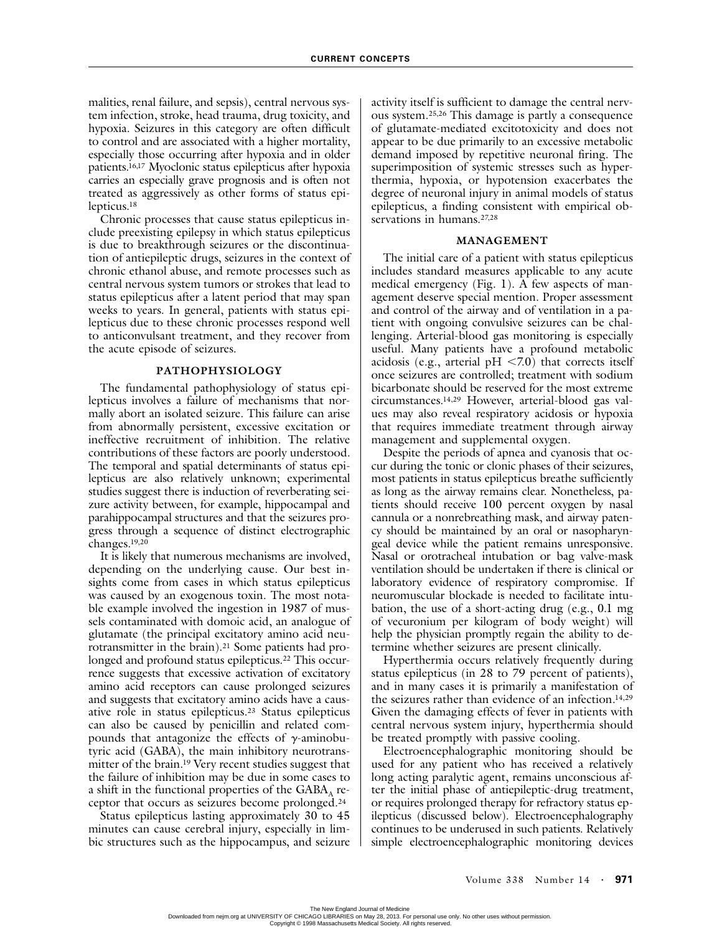malities, renal failure, and sepsis), central nervous system infection, stroke, head trauma, drug toxicity, and hypoxia. Seizures in this category are often difficult to control and are associated with a higher mortality, especially those occurring after hypoxia and in older patients.16,17 Myoclonic status epilepticus after hypoxia carries an especially grave prognosis and is often not treated as aggressively as other forms of status epilepticus.18

Chronic processes that cause status epilepticus include preexisting epilepsy in which status epilepticus is due to breakthrough seizures or the discontinuation of antiepileptic drugs, seizures in the context of chronic ethanol abuse, and remote processes such as central nervous system tumors or strokes that lead to status epilepticus after a latent period that may span weeks to years. In general, patients with status epilepticus due to these chronic processes respond well to anticonvulsant treatment, and they recover from the acute episode of seizures.

### **PATHOPHYSIOLOGY**

The fundamental pathophysiology of status epilepticus involves a failure of mechanisms that normally abort an isolated seizure. This failure can arise from abnormally persistent, excessive excitation or ineffective recruitment of inhibition. The relative contributions of these factors are poorly understood. The temporal and spatial determinants of status epilepticus are also relatively unknown; experimental studies suggest there is induction of reverberating seizure activity between, for example, hippocampal and parahippocampal structures and that the seizures progress through a sequence of distinct electrographic changes.19,20

It is likely that numerous mechanisms are involved, depending on the underlying cause. Our best insights come from cases in which status epilepticus was caused by an exogenous toxin. The most notable example involved the ingestion in 1987 of mussels contaminated with domoic acid, an analogue of glutamate (the principal excitatory amino acid neurotransmitter in the brain).21 Some patients had prolonged and profound status epilepticus.<sup>22</sup> This occurrence suggests that excessive activation of excitatory amino acid receptors can cause prolonged seizures and suggests that excitatory amino acids have a causative role in status epilepticus.23 Status epilepticus can also be caused by penicillin and related compounds that antagonize the effects of  $\gamma$ -aminobutyric acid (GABA), the main inhibitory neurotransmitter of the brain.19 Very recent studies suggest that the failure of inhibition may be due in some cases to a shift in the functional properties of the  $GABA_A$  receptor that occurs as seizures become prolonged.24

Status epilepticus lasting approximately 30 to 45 minutes can cause cerebral injury, especially in limbic structures such as the hippocampus, and seizure activity itself is sufficient to damage the central nervous system.25,26 This damage is partly a consequence of glutamate-mediated excitotoxicity and does not appear to be due primarily to an excessive metabolic demand imposed by repetitive neuronal firing. The superimposition of systemic stresses such as hyperthermia, hypoxia, or hypotension exacerbates the degree of neuronal injury in animal models of status epilepticus, a finding consistent with empirical observations in humans.<sup>27,28</sup>

#### **MANAGEMENT**

The initial care of a patient with status epilepticus includes standard measures applicable to any acute medical emergency (Fig. 1).  $\overline{A}$  few aspects of management deserve special mention. Proper assessment and control of the airway and of ventilation in a patient with ongoing convulsive seizures can be challenging. Arterial-blood gas monitoring is especially useful. Many patients have a profound metabolic acidosis (e.g., arterial pH  $\leq$  7.0) that corrects itself once seizures are controlled; treatment with sodium bicarbonate should be reserved for the most extreme circumstances.14,29 However, arterial-blood gas values may also reveal respiratory acidosis or hypoxia that requires immediate treatment through airway management and supplemental oxygen.

Despite the periods of apnea and cyanosis that occur during the tonic or clonic phases of their seizures, most patients in status epilepticus breathe sufficiently as long as the airway remains clear. Nonetheless, patients should receive 100 percent oxygen by nasal cannula or a nonrebreathing mask, and airway patency should be maintained by an oral or nasopharyngeal device while the patient remains unresponsive. Nasal or orotracheal intubation or bag valve-mask ventilation should be undertaken if there is clinical or laboratory evidence of respiratory compromise. If neuromuscular blockade is needed to facilitate intubation, the use of a short-acting drug (e.g., 0.1 mg of vecuronium per kilogram of body weight) will help the physician promptly regain the ability to determine whether seizures are present clinically.

Hyperthermia occurs relatively frequently during status epilepticus (in 28 to 79 percent of patients), and in many cases it is primarily a manifestation of the seizures rather than evidence of an infection.14,29 Given the damaging effects of fever in patients with central nervous system injury, hyperthermia should be treated promptly with passive cooling.

Electroencephalographic monitoring should be used for any patient who has received a relatively long acting paralytic agent, remains unconscious after the initial phase of antiepileptic-drug treatment, or requires prolonged therapy for refractory status epilepticus (discussed below). Electroencephalography continues to be underused in such patients. Relatively simple electroencephalographic monitoring devices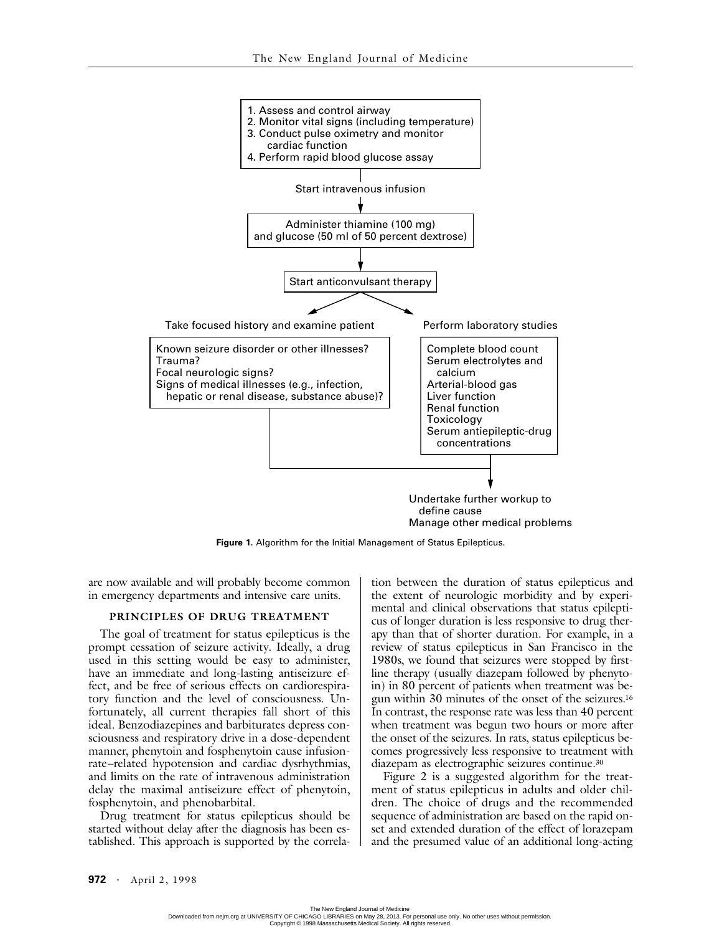

**Figure 1.** Algorithm for the Initial Management of Status Epilepticus.

are now available and will probably become common in emergency departments and intensive care units.

## **PRINCIPLES OF DRUG TREATMENT**

The goal of treatment for status epilepticus is the prompt cessation of seizure activity. Ideally, a drug used in this setting would be easy to administer, have an immediate and long-lasting antiseizure effect, and be free of serious effects on cardiorespiratory function and the level of consciousness. Unfortunately, all current therapies fall short of this ideal. Benzodiazepines and barbiturates depress consciousness and respiratory drive in a dose-dependent manner, phenytoin and fosphenytoin cause infusionrate–related hypotension and cardiac dysrhythmias, and limits on the rate of intravenous administration delay the maximal antiseizure effect of phenytoin, fosphenytoin, and phenobarbital.

Drug treatment for status epilepticus should be started without delay after the diagnosis has been established. This approach is supported by the correla-

tion between the duration of status epilepticus and the extent of neurologic morbidity and by experimental and clinical observations that status epilepticus of longer duration is less responsive to drug therapy than that of shorter duration. For example, in a review of status epilepticus in San Francisco in the 1980s, we found that seizures were stopped by firstline therapy (usually diazepam followed by phenytoin) in 80 percent of patients when treatment was begun within 30 minutes of the onset of the seizures.16 In contrast, the response rate was less than 40 percent when treatment was begun two hours or more after the onset of the seizures. In rats, status epilepticus becomes progressively less responsive to treatment with diazepam as electrographic seizures continue.30

Figure 2 is a suggested algorithm for the treatment of status epilepticus in adults and older children. The choice of drugs and the recommended sequence of administration are based on the rapid onset and extended duration of the effect of lorazepam and the presumed value of an additional long-acting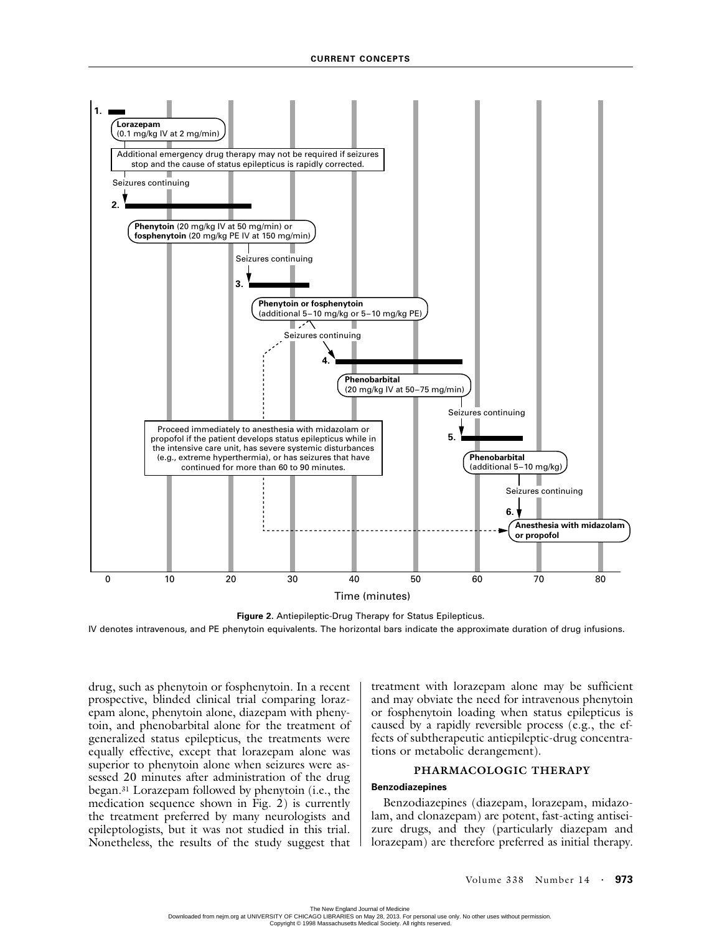

**Figure 2.** Antiepileptic-Drug Therapy for Status Epilepticus.

IV denotes intravenous, and PE phenytoin equivalents. The horizontal bars indicate the approximate duration of drug infusions.

drug, such as phenytoin or fosphenytoin. In a recent prospective, blinded clinical trial comparing lorazepam alone, phenytoin alone, diazepam with phenytoin, and phenobarbital alone for the treatment of generalized status epilepticus, the treatments were equally effective, except that lorazepam alone was superior to phenytoin alone when seizures were assessed 20 minutes after administration of the drug began.31 Lorazepam followed by phenytoin (i.e., the medication sequence shown in Fig. 2) is currently the treatment preferred by many neurologists and epileptologists, but it was not studied in this trial. Nonetheless, the results of the study suggest that

treatment with lorazepam alone may be sufficient and may obviate the need for intravenous phenytoin or fosphenytoin loading when status epilepticus is caused by a rapidly reversible process (e.g., the effects of subtherapeutic antiepileptic-drug concentrations or metabolic derangement).

### **PHARMACOLOGIC THERAPY**

#### **Benzodiazepines**

Benzodiazepines (diazepam, lorazepam, midazolam, and clonazepam) are potent, fast-acting antiseizure drugs, and they (particularly diazepam and lorazepam) are therefore preferred as initial therapy.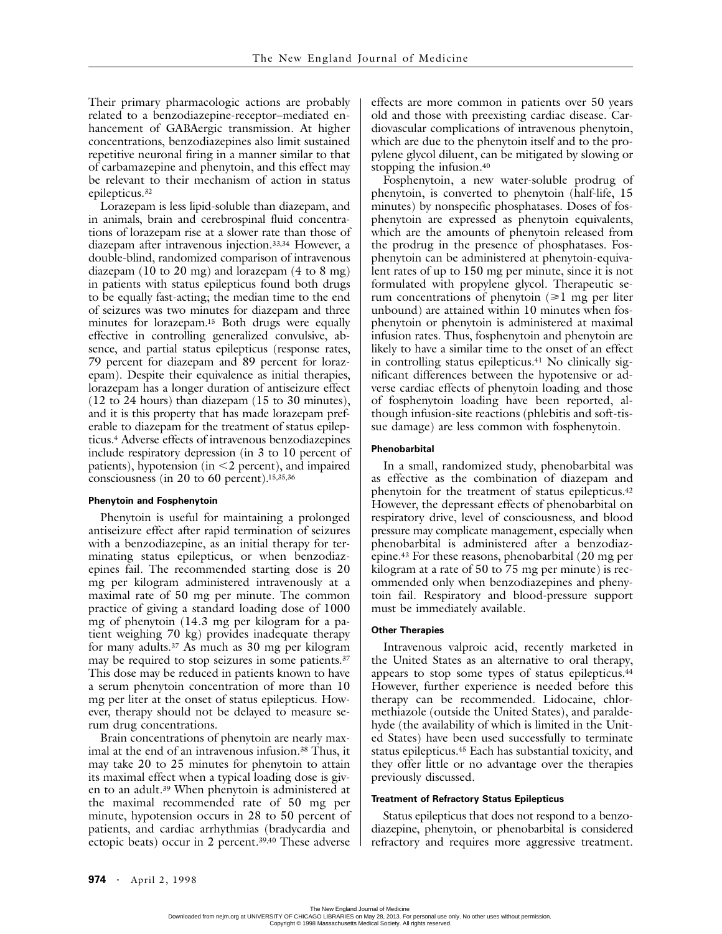Their primary pharmacologic actions are probably related to a benzodiazepine-receptor–mediated enhancement of GABAergic transmission. At higher concentrations, benzodiazepines also limit sustained repetitive neuronal firing in a manner similar to that of carbamazepine and phenytoin, and this effect may be relevant to their mechanism of action in status epilepticus.32

Lorazepam is less lipid-soluble than diazepam, and in animals, brain and cerebrospinal fluid concentrations of lorazepam rise at a slower rate than those of diazepam after intravenous injection.33,34 However, a double-blind, randomized comparison of intravenous diazepam (10 to 20 mg) and lorazepam (4 to 8 mg) in patients with status epilepticus found both drugs to be equally fast-acting; the median time to the end of seizures was two minutes for diazepam and three minutes for lorazepam.15 Both drugs were equally effective in controlling generalized convulsive, absence, and partial status epilepticus (response rates, 79 percent for diazepam and 89 percent for lorazepam). Despite their equivalence as initial therapies, lorazepam has a longer duration of antiseizure effect (12 to 24 hours) than diazepam (15 to 30 minutes), and it is this property that has made lorazepam preferable to diazepam for the treatment of status epilepticus.4 Adverse effects of intravenous benzodiazepines include respiratory depression (in 3 to 10 percent of patients), hypotension (in  $\leq$  2 percent), and impaired consciousness (in 20 to 60 percent).15,35,36

#### **Phenytoin and Fosphenytoin**

Phenytoin is useful for maintaining a prolonged antiseizure effect after rapid termination of seizures with a benzodiazepine, as an initial therapy for terminating status epilepticus, or when benzodiazepines fail. The recommended starting dose is 20 mg per kilogram administered intravenously at a maximal rate of 50 mg per minute. The common practice of giving a standard loading dose of 1000 mg of phenytoin (14.3 mg per kilogram for a patient weighing 70 kg) provides inadequate therapy for many adults.37 As much as 30 mg per kilogram may be required to stop seizures in some patients.<sup>37</sup> This dose may be reduced in patients known to have a serum phenytoin concentration of more than 10 mg per liter at the onset of status epilepticus. However, therapy should not be delayed to measure serum drug concentrations.

Brain concentrations of phenytoin are nearly maximal at the end of an intravenous infusion.<sup>38</sup> Thus, it may take 20 to 25 minutes for phenytoin to attain its maximal effect when a typical loading dose is given to an adult.39 When phenytoin is administered at the maximal recommended rate of 50 mg per minute, hypotension occurs in 28 to 50 percent of patients, and cardiac arrhythmias (bradycardia and ectopic beats) occur in 2 percent.39,40 These adverse

effects are more common in patients over 50 years old and those with preexisting cardiac disease. Cardiovascular complications of intravenous phenytoin, which are due to the phenytoin itself and to the propylene glycol diluent, can be mitigated by slowing or stopping the infusion.40

Fosphenytoin, a new water-soluble prodrug of phenytoin, is converted to phenytoin (half-life, 15 minutes) by nonspecific phosphatases. Doses of fosphenytoin are expressed as phenytoin equivalents, which are the amounts of phenytoin released from the prodrug in the presence of phosphatases. Fosphenytoin can be administered at phenytoin-equivalent rates of up to 150 mg per minute, since it is not formulated with propylene glycol. Therapeutic serum concentrations of phenytoin  $(\geq 1$  mg per liter unbound) are attained within 10 minutes when fosphenytoin or phenytoin is administered at maximal infusion rates. Thus, fosphenytoin and phenytoin are likely to have a similar time to the onset of an effect in controlling status epilepticus.<sup>41</sup> No clinically significant differences between the hypotensive or adverse cardiac effects of phenytoin loading and those of fosphenytoin loading have been reported, although infusion-site reactions (phlebitis and soft-tissue damage) are less common with fosphenytoin.

#### **Phenobarbital**

In a small, randomized study, phenobarbital was as effective as the combination of diazepam and phenytoin for the treatment of status epilepticus.42 However, the depressant effects of phenobarbital on respiratory drive, level of consciousness, and blood pressure may complicate management, especially when phenobarbital is administered after a benzodiazepine.43 For these reasons, phenobarbital (20 mg per kilogram at a rate of 50 to 75 mg per minute) is recommended only when benzodiazepines and phenytoin fail. Respiratory and blood-pressure support must be immediately available.

#### **Other Therapies**

Intravenous valproic acid, recently marketed in the United States as an alternative to oral therapy, appears to stop some types of status epilepticus.44 However, further experience is needed before this therapy can be recommended. Lidocaine, chlormethiazole (outside the United States), and paraldehyde (the availability of which is limited in the United States) have been used successfully to terminate status epilepticus.45 Each has substantial toxicity, and they offer little or no advantage over the therapies previously discussed.

#### **Treatment of Refractory Status Epilepticus**

Status epilepticus that does not respond to a benzodiazepine, phenytoin, or phenobarbital is considered refractory and requires more aggressive treatment.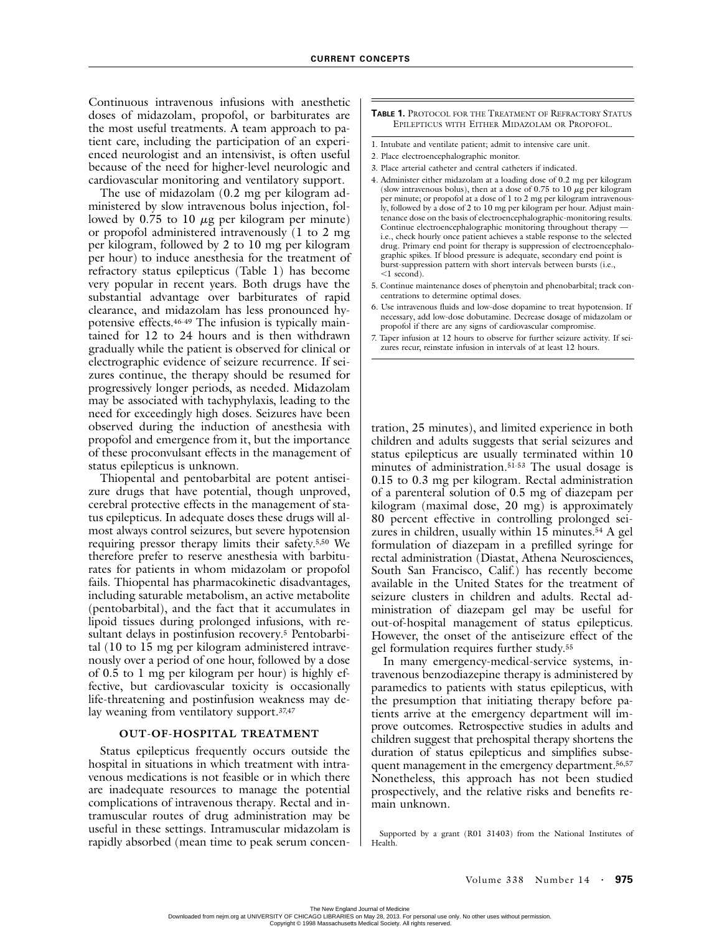Continuous intravenous infusions with anesthetic doses of midazolam, propofol, or barbiturates are the most useful treatments. A team approach to patient care, including the participation of an experienced neurologist and an intensivist, is often useful because of the need for higher-level neurologic and cardiovascular monitoring and ventilatory support.

The use of midazolam (0.2 mg per kilogram administered by slow intravenous bolus injection, followed by 0.75 to 10 *m*g per kilogram per minute) or propofol administered intravenously (1 to 2 mg per kilogram, followed by 2 to 10 mg per kilogram per hour) to induce anesthesia for the treatment of refractory status epilepticus (Table 1) has become very popular in recent years. Both drugs have the substantial advantage over barbiturates of rapid clearance, and midazolam has less pronounced hypotensive effects.46-49 The infusion is typically maintained for 12 to 24 hours and is then withdrawn gradually while the patient is observed for clinical or electrographic evidence of seizure recurrence. If seizures continue, the therapy should be resumed for progressively longer periods, as needed. Midazolam may be associated with tachyphylaxis, leading to the need for exceedingly high doses. Seizures have been observed during the induction of anesthesia with propofol and emergence from it, but the importance of these proconvulsant effects in the management of status epilepticus is unknown.

Thiopental and pentobarbital are potent antiseizure drugs that have potential, though unproved, cerebral protective effects in the management of status epilepticus. In adequate doses these drugs will almost always control seizures, but severe hypotension requiring pressor therapy limits their safety.5,50 We therefore prefer to reserve anesthesia with barbiturates for patients in whom midazolam or propofol fails. Thiopental has pharmacokinetic disadvantages, including saturable metabolism, an active metabolite (pentobarbital), and the fact that it accumulates in lipoid tissues during prolonged infusions, with resultant delays in postinfusion recovery.5 Pentobarbital (10 to 15 mg per kilogram administered intravenously over a period of one hour, followed by a dose of 0.5 to 1 mg per kilogram per hour) is highly effective, but cardiovascular toxicity is occasionally life-threatening and postinfusion weakness may delay weaning from ventilatory support.37,47

#### **OUT-OF-HOSPITAL TREATMENT**

Status epilepticus frequently occurs outside the hospital in situations in which treatment with intravenous medications is not feasible or in which there are inadequate resources to manage the potential complications of intravenous therapy. Rectal and intramuscular routes of drug administration may be useful in these settings. Intramuscular midazolam is rapidly absorbed (mean time to peak serum concen-

#### **TABLE 1.** PROTOCOL FOR THE TREATMENT OF REFRACTORY STATUS EPILEPTICUS WITH EITHER MIDAZOLAM OR PROPOFOL.

- 1. Intubate and ventilate patient; admit to intensive care unit.
- 2. Place electroencephalographic monitor.
- 3. Place arterial catheter and central catheters if indicated.
- 4. Administer either midazolam at a loading dose of 0.2 mg per kilogram (slow intravenous bolus), then at a dose of 0.75 to 10 *m*g per kilogram per minute; or propofol at a dose of 1 to 2 mg per kilogram intravenously, followed by a dose of 2 to 10 mg per kilogram per hour. Adjust maintenance dose on the basis of electroencephalographic-monitoring results. Continue electroencephalographic monitoring throughout therapy i.e., check hourly once patient achieves a stable response to the selected drug. Primary end point for therapy is suppression of electroencephalographic spikes. If blood pressure is adequate, secondary end point is burst-suppression pattern with short intervals between bursts (i.e., -1 second).
- 5. Continue maintenance doses of phenytoin and phenobarbital; track concentrations to determine optimal doses.
- 6. Use intravenous fluids and low-dose dopamine to treat hypotension. If necessary, add low-dose dobutamine. Decrease dosage of midazolam or propofol if there are any signs of cardiovascular compromise.
- 7. Taper infusion at 12 hours to observe for further seizure activity. If seizures recur, reinstate infusion in intervals of at least 12 hours.

tration, 25 minutes), and limited experience in both children and adults suggests that serial seizures and status epilepticus are usually terminated within 10 minutes of administration.<sup>51-53</sup> The usual dosage is 0.15 to 0.3 mg per kilogram. Rectal administration of a parenteral solution of 0.5 mg of diazepam per kilogram (maximal dose, 20 mg) is approximately 80 percent effective in controlling prolonged seizures in children, usually within 15 minutes.<sup>54</sup> A gel formulation of diazepam in a prefilled syringe for rectal administration (Diastat, Athena Neurosciences, South San Francisco, Calif.) has recently become available in the United States for the treatment of seizure clusters in children and adults. Rectal administration of diazepam gel may be useful for out-of-hospital management of status epilepticus. However, the onset of the antiseizure effect of the gel formulation requires further study.55

In many emergency-medical-service systems, intravenous benzodiazepine therapy is administered by paramedics to patients with status epilepticus, with the presumption that initiating therapy before patients arrive at the emergency department will improve outcomes. Retrospective studies in adults and children suggest that prehospital therapy shortens the duration of status epilepticus and simplifies subsequent management in the emergency department.<sup>56,57</sup> Nonetheless, this approach has not been studied prospectively, and the relative risks and benefits remain unknown.

Supported by a grant (R01 31403) from the National Institutes of Health.